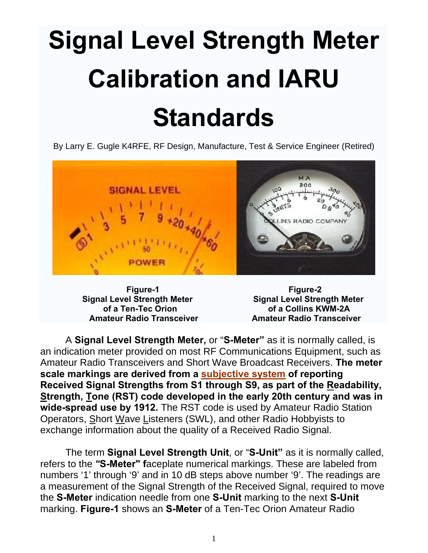# **Signal Level Strength Meter Calibration and IARU Standards**

By Larry E. Gugle K4RFE, RF Design, Manufacture, Test & Service Engineer (Retired)



**Signal Level Strength Meter Signal Level Strength Meter** 

**Figure-1** Figure-2  **of a Ten-Tec Orion of a Collins KWM-2A Amateur Radio Transceiver Amateur Radio Transceiver** 

A **Signal Level Strength Meter,** or "**S-Meter"** as it is normally called, is an indication meter provided on most RF Communications Equipment, such as Amateur Radio Transceivers and Short Wave Broadcast Receivers. **The meter scale markings are derived from a subjective system of reporting Received Signal Strengths from S1 through S9, as part of the Readability, Strength, Tone (RST) code developed in the early 20th century and was in wide-spread use by 1912.** The RST code is used by Amateur Radio Station Operators, Short Wave Listeners (SWL), and other Radio Hobbyists to exchange information about the quality of a Received Radio Signal.

The term **Signal Level Strength Unit**, or "**S-Unit"** as it is normally called, refers to the *"***S-Meter" f**aceplate numerical markings. These are labeled from numbers '1' through '9' and in 10 dB steps above number '9'. The readings are a measurement of the Signal Strength of the Received Signal, required to move the **S-Meter** indication needle from one **S-Unit** marking to the next **S-Unit** marking. **Figure-1** shows an **S-Meter** of a Ten-Tec Orion Amateur Radio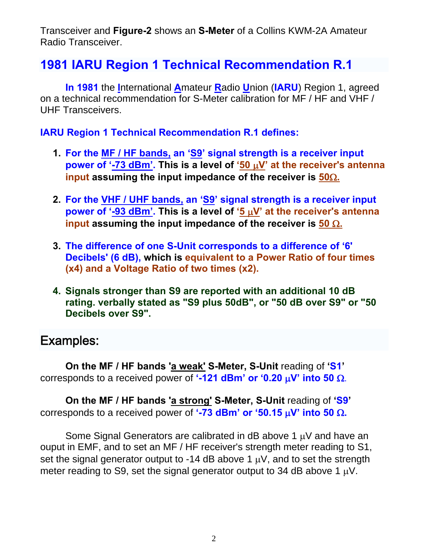Transceiver and **Figure-2** shows an **S-Meter** of a Collins KWM-2A Amateur Radio Transceiver.

# **1981 IARU Region 1 Technical Recommendation R.1**

**In 1981** the **I**nternational **A**mateur **R**adio **U**nion (**IARU**) Region 1, agreed on a technical recommendation for S-Meter calibration for MF / HF and VHF / UHF Transceivers.

#### **IARU Region 1 Technical Recommendation R.1 defines:**

- **1. For the MF / HF bands, an 'S9' signal strength is a receiver input power of '-73 dBm'. This is a level of '50**  $\mu$ **V' at the receiver's antenna input assuming the input impedance of the receiver is 50.**
- **2. For the VHF / UHF bands, an 'S9' signal strength is a receiver input power of '-93 dBm'. This is a level of '5**  $\mu$ **V' at the receiver's antenna input assuming the input impedance of the receiver is**  $50 \Omega$ **.**
- **3. The difference of one S-Unit corresponds to a difference of '6' Decibels' (6 dB), which is equivalent to a Power Ratio of four times (x4) and a Voltage Ratio of two times (x2).**
- **4. Signals stronger than S9 are reported with an additional 10 dB rating. verbally stated as "S9 plus 50dB", or "50 dB over S9" or "50 Decibels over S9".**

# Examples:

**On the MF / HF bands 'a weak' S-Meter, S-Unit** reading of **'S1'** corresponds to a received power of  $\cdot$ -121 dBm' or  $\cdot$ 0.20  $\mu$ V' into 50  $\Omega$ .

**On the MF / HF bands 'a strong' S-Meter, S-Unit** reading of **'S9'** corresponds to a received power of  $\cdot$ -73 dBm' or  $\cdot$ 50.15  $\mu$ V' into 50  $\Omega$ .

Some Signal Generators are calibrated in dB above 1  $\mu$ V and have an ouput in EMF, and to set an MF / HF receiver's strength meter reading to S1, set the signal generator output to -14 dB above 1  $\mu$ V, and to set the strength meter reading to S9, set the signal generator output to 34 dB above 1  $\mu$ V.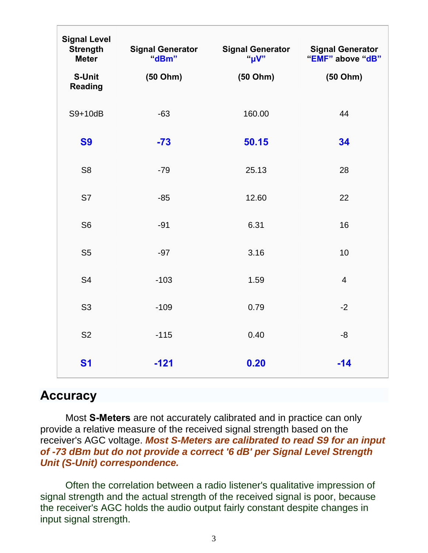| <b>Signal Level</b><br><b>Strength</b><br><b>Meter</b> | <b>Signal Generator</b><br>"dBm" | <b>Signal Generator</b><br>"uV" | <b>Signal Generator</b><br>"EMF" above "dB" |
|--------------------------------------------------------|----------------------------------|---------------------------------|---------------------------------------------|
| S-Unit<br><b>Reading</b>                               | (50 Ohm)                         | (50 Ohm)                        | (50 Ohm)                                    |
| S9+10dB                                                | $-63$                            | 160.00                          | 44                                          |
| <b>S9</b>                                              | $-73$                            | 50.15                           | 34                                          |
| S <sub>8</sub>                                         | $-79$                            | 25.13                           | 28                                          |
| S7                                                     | $-85$                            | 12.60                           | 22                                          |
| S <sub>6</sub>                                         | $-91$                            | 6.31                            | 16                                          |
| S <sub>5</sub>                                         | $-97$                            | 3.16                            | 10                                          |
| S <sub>4</sub>                                         | $-103$                           | 1.59                            | $\overline{\mathcal{A}}$                    |
| S <sub>3</sub>                                         | $-109$                           | 0.79                            | $-2$                                        |
| <b>S2</b>                                              | $-115$                           | 0.40                            | $-8$                                        |
| <b>S1</b>                                              | $-121$                           | 0.20                            | $-14$                                       |

# **Accuracy**

Most **S-Meters** are not accurately calibrated and in practice can only provide a relative measure of the received signal strength based on the receiver's AGC voltage. *Most S-Meters are calibrated to read S9 for an input of -73 dBm but do not provide a correct '6 dB' per Signal Level Strength Unit (S-Unit) correspondence.*

Often the correlation between a radio listener's qualitative impression of signal strength and the actual strength of the received signal is poor, because the receiver's AGC holds the audio output fairly constant despite changes in input signal strength.